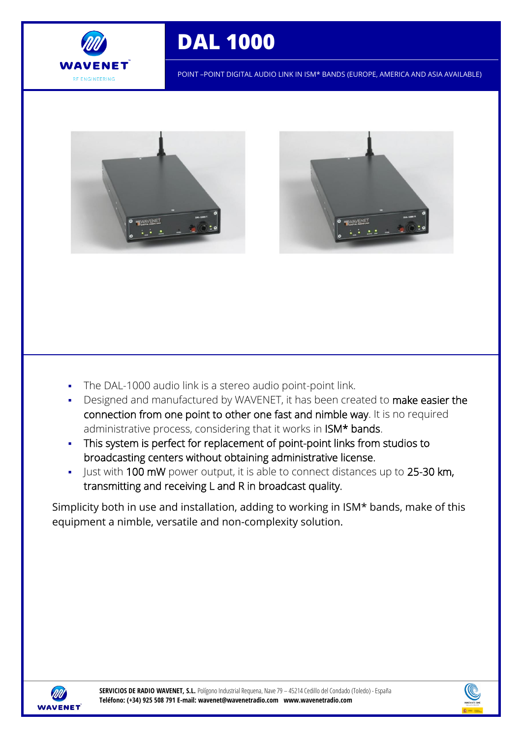

# **DAL 1000**

POINT –POINT DIGITAL AUDIO LINK IN ISM\* BANDS (EUROPE, AMERICA AND ASIA AVAILABLE)





- The DAL-1000 audio link is a stereo audio point-point link.
- Designed and manufactured by WAVENET, it has been created to make easier the connection from one point to other one fast and nimble way. It is no required administrative process, considering that it works in ISM\* bands.
- This system is perfect for replacement of point-point links from studios to broadcasting centers without obtaining administrative license.
- I Just with 100 mW power output, it is able to connect distances up to 25-30 km, transmitting and receiving L and R in broadcast quality.

Simplicity both in use and installation, adding to working in ISM\* bands, make of this equipment a nimble, versatile and non-complexity solution.